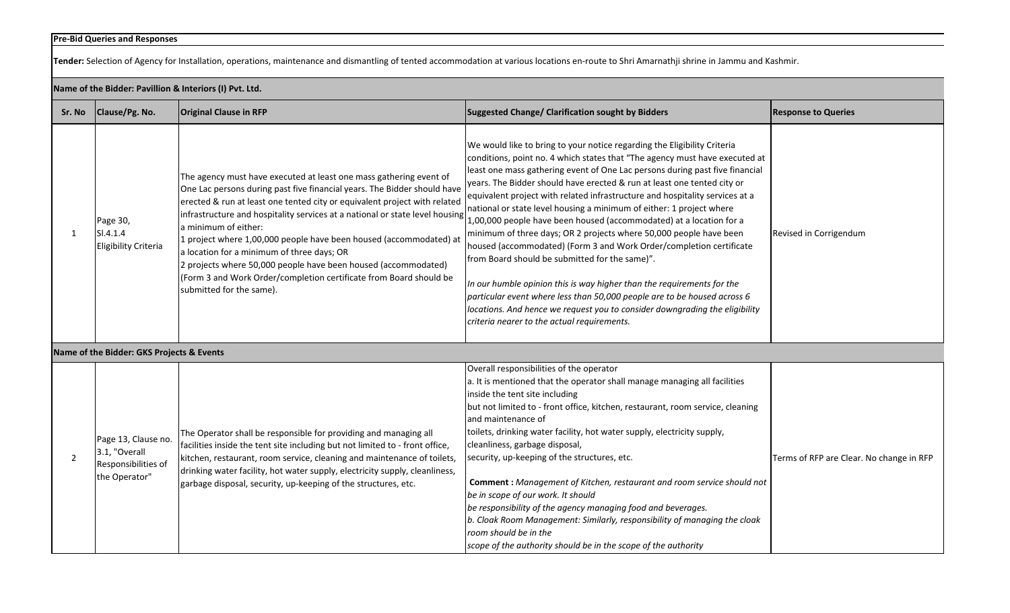## **Pre-Bid Queries and Responses**

**Tender:** Selection of Agency for Installation, operations, maintenance and dismantling of tented accommodation at various locations en-route to Shri Amarnathji shrine in Jammu and Kashmir.

## **Name of the Bidder: Pavillion & Interiors (I) Pvt. Ltd.**

| Sr. No | Clause/Pg. No.                                                               | <b>Original Clause in RFP</b>                                                                                                                                                                                                                                                                                                                                                                                                                                                                                                                                                                                               | <b>Suggested Change/ Clarification sought by Bidders</b>                                                                                                                                                                                                                                                                                                                                                                                                                                                                                                                                                                                                                                                                                                                                                                                                                                                                                                                                                                             | <b>Response to Queries</b>               |  |  |  |
|--------|------------------------------------------------------------------------------|-----------------------------------------------------------------------------------------------------------------------------------------------------------------------------------------------------------------------------------------------------------------------------------------------------------------------------------------------------------------------------------------------------------------------------------------------------------------------------------------------------------------------------------------------------------------------------------------------------------------------------|--------------------------------------------------------------------------------------------------------------------------------------------------------------------------------------------------------------------------------------------------------------------------------------------------------------------------------------------------------------------------------------------------------------------------------------------------------------------------------------------------------------------------------------------------------------------------------------------------------------------------------------------------------------------------------------------------------------------------------------------------------------------------------------------------------------------------------------------------------------------------------------------------------------------------------------------------------------------------------------------------------------------------------------|------------------------------------------|--|--|--|
| 1      | Page 30,<br>SI.4.1.4<br>Eligibility Criteria                                 | The agency must have executed at least one mass gathering event of<br>One Lac persons during past five financial years. The Bidder should have<br>erected & run at least one tented city or equivalent project with related<br>infrastructure and hospitality services at a national or state level housing<br>a minimum of either:<br>1 project where 1,00,000 people have been housed (accommodated) at<br>a location for a minimum of three days; OR<br>2 projects where 50,000 people have been housed (accommodated)<br>(Form 3 and Work Order/completion certificate from Board should be<br>submitted for the same). | We would like to bring to your notice regarding the Eligibility Criteria<br>conditions, point no. 4 which states that "The agency must have executed at<br>least one mass gathering event of One Lac persons during past five financial<br>years. The Bidder should have erected & run at least one tented city or<br>equivalent project with related infrastructure and hospitality services at a<br>national or state level housing a minimum of either: 1 project where<br>1,00,000 people have been housed (accommodated) at a location for a<br>minimum of three days; OR 2 projects where 50,000 people have been<br>housed (accommodated) (Form 3 and Work Order/completion certificate<br>from Board should be submitted for the same)".<br>In our humble opinion this is way higher than the requirements for the<br>particular event where less than 50,000 people are to be housed across 6<br>locations. And hence we request you to consider downgrading the eligibility<br>criteria nearer to the actual requirements. | Revised in Corrigendum                   |  |  |  |
|        | Name of the Bidder: GKS Projects & Events                                    |                                                                                                                                                                                                                                                                                                                                                                                                                                                                                                                                                                                                                             |                                                                                                                                                                                                                                                                                                                                                                                                                                                                                                                                                                                                                                                                                                                                                                                                                                                                                                                                                                                                                                      |                                          |  |  |  |
| 2      | Page 13, Clause no.<br>3.1, "Overall<br>Responsibilities of<br>the Operator" | The Operator shall be responsible for providing and managing all<br>facilities inside the tent site including but not limited to - front office,<br>kitchen, restaurant, room service, cleaning and maintenance of toilets,<br>drinking water facility, hot water supply, electricity supply, cleanliness,<br>garbage disposal, security, up-keeping of the structures, etc.                                                                                                                                                                                                                                                | Overall responsibilities of the operator<br>a. It is mentioned that the operator shall manage managing all facilities<br>inside the tent site including<br>but not limited to - front office, kitchen, restaurant, room service, cleaning<br>and maintenance of<br>toilets, drinking water facility, hot water supply, electricity supply,<br>cleanliness, garbage disposal,<br>security, up-keeping of the structures, etc.<br>Comment : Management of Kitchen, restaurant and room service should not<br>be in scope of our work. It should<br>be responsibility of the agency managing food and beverages.<br>b. Cloak Room Management: Similarly, responsibility of managing the cloak<br>room should be in the<br>scope of the authority should be in the scope of the authority                                                                                                                                                                                                                                                | Terms of RFP are Clear. No change in RFP |  |  |  |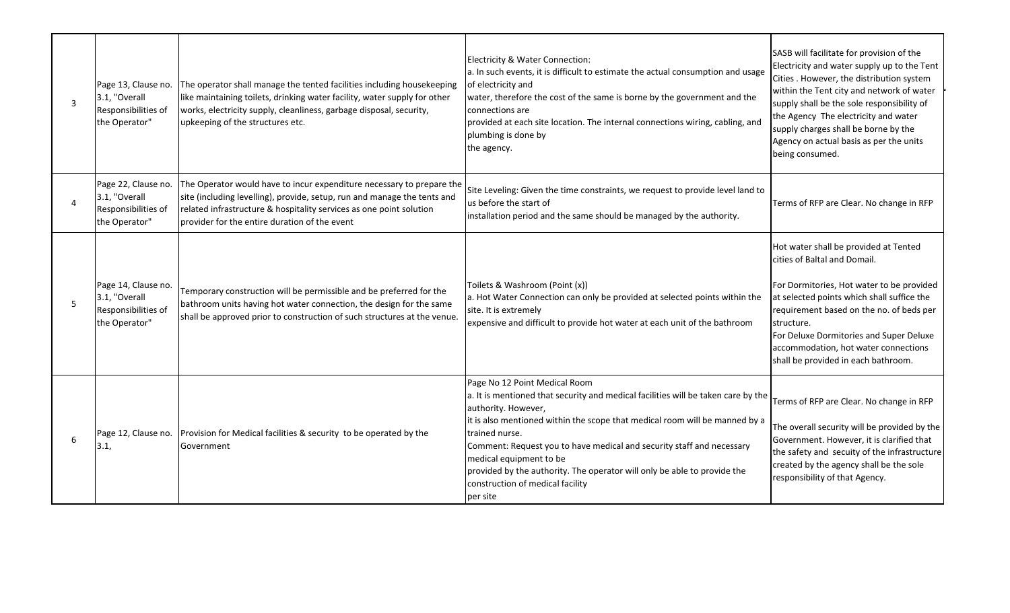| $\mathbf{3}$ | Page 13, Clause no.<br>3.1, "Overall<br>Responsibilities of<br>the Operator" | The operator shall manage the tented facilities including housekeeping<br>like maintaining toilets, drinking water facility, water supply for other<br>works, electricity supply, cleanliness, garbage disposal, security,<br>upkeeping of the structures etc.            | Electricity & Water Connection:<br>a. In such events, it is difficult to estimate the actual consumption and usage<br>of electricity and<br>water, therefore the cost of the same is borne by the government and the<br>connections are<br>provided at each site location. The internal connections wiring, cabling, and<br>plumbing is done by<br>the agency.                                                                                                             | SASB will facilitate for provision of the<br>Electricity and water supply up to the Tent<br>Cities . However, the distribution system<br>within the Tent city and network of water<br>supply shall be the sole responsibility of<br>the Agency The electricity and water<br>supply charges shall be borne by the<br>Agency on actual basis as per the units<br>being consumed. |
|--------------|------------------------------------------------------------------------------|---------------------------------------------------------------------------------------------------------------------------------------------------------------------------------------------------------------------------------------------------------------------------|----------------------------------------------------------------------------------------------------------------------------------------------------------------------------------------------------------------------------------------------------------------------------------------------------------------------------------------------------------------------------------------------------------------------------------------------------------------------------|--------------------------------------------------------------------------------------------------------------------------------------------------------------------------------------------------------------------------------------------------------------------------------------------------------------------------------------------------------------------------------|
|              | Page 22, Clause no.<br>3.1, "Overall<br>Responsibilities of<br>the Operator" | The Operator would have to incur expenditure necessary to prepare the<br>site (including levelling), provide, setup, run and manage the tents and<br>related infrastructure & hospitality services as one point solution<br>provider for the entire duration of the event | Site Leveling: Given the time constraints, we request to provide level land to<br>us before the start of<br>installation period and the same should be managed by the authority.                                                                                                                                                                                                                                                                                           | Terms of RFP are Clear. No change in RFP                                                                                                                                                                                                                                                                                                                                       |
| -5           | Page 14, Clause no.<br>3.1, "Overall<br>Responsibilities of<br>the Operator" | Temporary construction will be permissible and be preferred for the<br>bathroom units having hot water connection, the design for the same<br>shall be approved prior to construction of such structures at the venue.                                                    | Toilets & Washroom (Point (x))<br>a. Hot Water Connection can only be provided at selected points within the<br>site. It is extremely<br>expensive and difficult to provide hot water at each unit of the bathroom                                                                                                                                                                                                                                                         | Hot water shall be provided at Tented<br>cities of Baltal and Domail.<br>For Dormitories, Hot water to be provided<br>at selected points which shall suffice the<br>requirement based on the no. of beds per<br>structure.<br>For Deluxe Dormitories and Super Deluxe<br>accommodation, hot water connections<br>shall be provided in each bathroom.                           |
| 6            | Page 12, Clause no.<br>3.1,                                                  | Provision for Medical facilities & security to be operated by the<br>Government                                                                                                                                                                                           | Page No 12 Point Medical Room<br>a. It is mentioned that security and medical facilities will be taken care by the<br>authority. However,<br>it is also mentioned within the scope that medical room will be manned by a<br>trained nurse.<br>Comment: Request you to have medical and security staff and necessary<br>medical equipment to be<br>provided by the authority. The operator will only be able to provide the<br>construction of medical facility<br>per site | Terms of RFP are Clear. No change in RFP<br>The overall security will be provided by the<br>Government. However, it is clarified that<br>the safety and secuity of the infrastructure<br>created by the agency shall be the sole<br>responsibility of that Agency.                                                                                                             |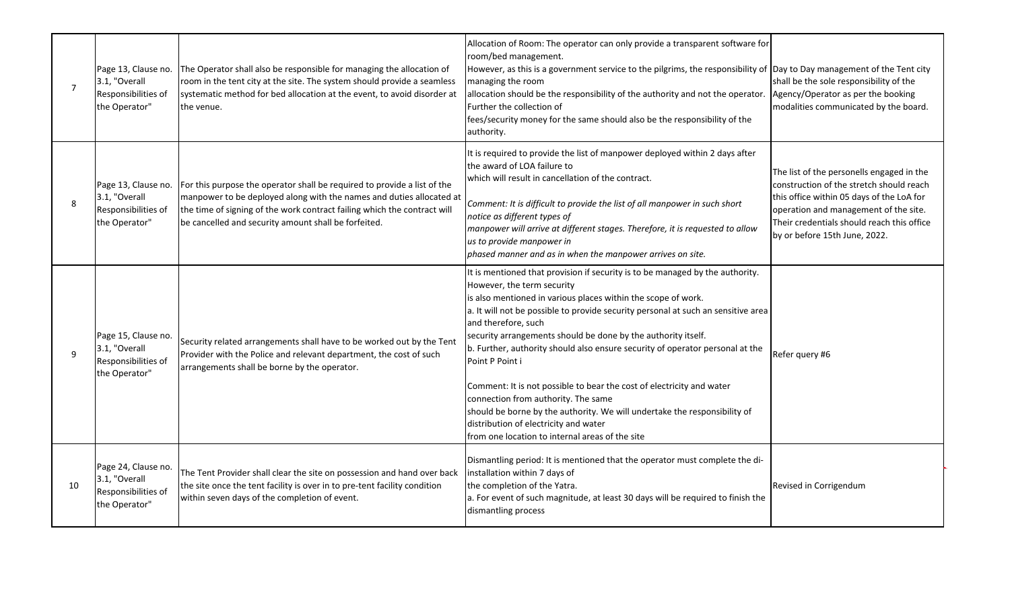| $\overline{7}$ | Page 13, Clause no.<br>3.1, "Overall<br>Responsibilities of<br>the Operator" | The Operator shall also be responsible for managing the allocation of<br>room in the tent city at the site. The system should provide a seamless<br>systematic method for bed allocation at the event, to avoid disorder at<br>the venue.                                            | Allocation of Room: The operator can only provide a transparent software for<br>room/bed management.<br>However, as this is a government service to the pilgrims, the responsibility of Day to Day management of the Tent city<br>managing the room<br>allocation should be the responsibility of the authority and not the operator.<br>Further the collection of<br>fees/security money for the same should also be the responsibility of the<br>authority.                                                                                                                                                                                                                                                                                          | shall be the sole responsibility of the<br>Agency/Operator as per the booking<br>modalities communicated by the board.                                                                                                                                     |
|----------------|------------------------------------------------------------------------------|--------------------------------------------------------------------------------------------------------------------------------------------------------------------------------------------------------------------------------------------------------------------------------------|--------------------------------------------------------------------------------------------------------------------------------------------------------------------------------------------------------------------------------------------------------------------------------------------------------------------------------------------------------------------------------------------------------------------------------------------------------------------------------------------------------------------------------------------------------------------------------------------------------------------------------------------------------------------------------------------------------------------------------------------------------|------------------------------------------------------------------------------------------------------------------------------------------------------------------------------------------------------------------------------------------------------------|
| 8              | Page 13, Clause no.<br>3.1, "Overall<br>Responsibilities of<br>the Operator" | For this purpose the operator shall be required to provide a list of the<br>manpower to be deployed along with the names and duties allocated at<br>the time of signing of the work contract failing which the contract will<br>be cancelled and security amount shall be forfeited. | It is required to provide the list of manpower deployed within 2 days after<br>the award of LOA failure to<br>which will result in cancellation of the contract.<br>Comment: It is difficult to provide the list of all manpower in such short<br>notice as different types of<br>manpower will arrive at different stages. Therefore, it is requested to allow<br>us to provide manpower in<br>phased manner and as in when the manpower arrives on site.                                                                                                                                                                                                                                                                                             | The list of the personells engaged in the<br>construction of the stretch should reach<br>this office within 05 days of the LoA for<br>operation and management of the site.<br>Their credentials should reach this office<br>by or before 15th June, 2022. |
| q              | Page 15, Clause no.<br>3.1, "Overall<br>Responsibilities of<br>the Operator" | Security related arrangements shall have to be worked out by the Tent<br>Provider with the Police and relevant department, the cost of such<br>arrangements shall be borne by the operator.                                                                                          | It is mentioned that provision if security is to be managed by the authority.<br>However, the term security<br>is also mentioned in various places within the scope of work.<br>a. It will not be possible to provide security personal at such an sensitive area<br>and therefore, such<br>security arrangements should be done by the authority itself.<br>b. Further, authority should also ensure security of operator personal at the<br>Point P Point i<br>Comment: It is not possible to bear the cost of electricity and water<br>connection from authority. The same<br>should be borne by the authority. We will undertake the responsibility of<br>distribution of electricity and water<br>from one location to internal areas of the site | Refer query #6                                                                                                                                                                                                                                             |
| 10             | Page 24, Clause no.<br>3.1, "Overall<br>Responsibilities of<br>the Operator" | The Tent Provider shall clear the site on possession and hand over back<br>the site once the tent facility is over in to pre-tent facility condition<br>within seven days of the completion of event.                                                                                | Dismantling period: It is mentioned that the operator must complete the di-<br>installation within 7 days of<br>the completion of the Yatra.<br>a. For event of such magnitude, at least 30 days will be required to finish the<br>dismantling process                                                                                                                                                                                                                                                                                                                                                                                                                                                                                                 | Revised in Corrigendum                                                                                                                                                                                                                                     |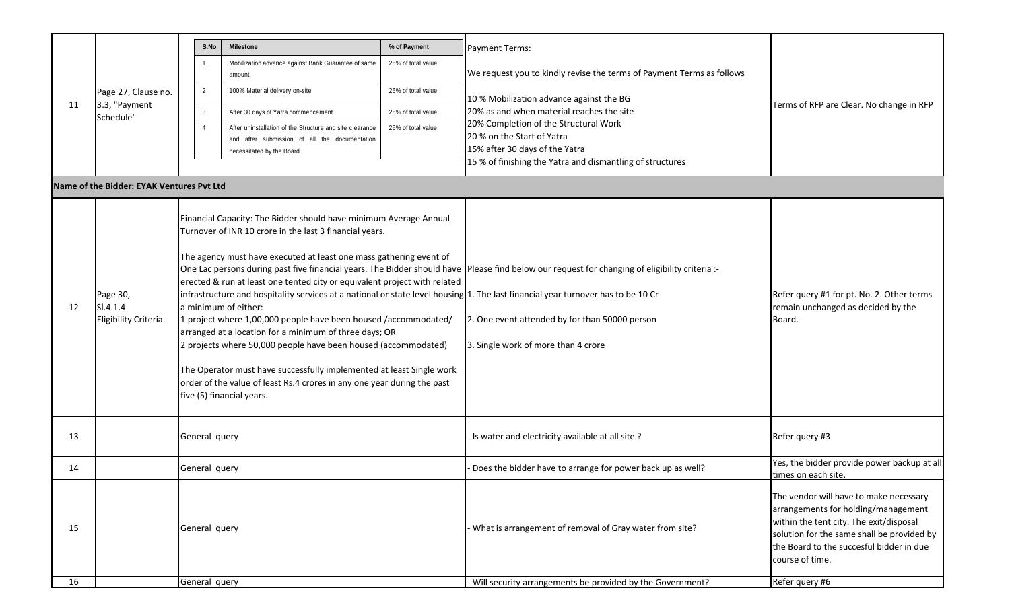| 11 | Page 27, Clause no.<br>3.3, "Payment<br>Schedule"   | S.No<br>$\overline{1}$<br>$\overline{2}$<br>$\overline{3}$<br>$\overline{4}$                                                                                                                                                                                                                                                                                                                                                                                                                                                                                                                                                                                                                                                                                                                                                                                                                                                                                                 | <b>Milestone</b><br>Mobilization advance against Bank Guarantee of same<br>amount.<br>100% Material delivery on-site<br>After 30 days of Yatra commencement<br>After uninstallation of the Structure and site clearance<br>and after submission of all the documentation<br>necessitated by the Board | % of Payment<br>25% of total value<br>25% of total value<br>25% of total value<br>25% of total value | Payment Terms:<br>We request you to kindly revise the terms of Payment Terms as follows<br>10 % Mobilization advance against the BG<br>20% as and when material reaches the site<br>20% Completion of the Structural Work<br>20 % on the Start of Yatra<br>15% after 30 days of the Yatra<br>15 % of finishing the Yatra and dismantling of structures | Terms of RFP are Clear. No change in RFP                                                                                                                                                                                              |
|----|-----------------------------------------------------|------------------------------------------------------------------------------------------------------------------------------------------------------------------------------------------------------------------------------------------------------------------------------------------------------------------------------------------------------------------------------------------------------------------------------------------------------------------------------------------------------------------------------------------------------------------------------------------------------------------------------------------------------------------------------------------------------------------------------------------------------------------------------------------------------------------------------------------------------------------------------------------------------------------------------------------------------------------------------|-------------------------------------------------------------------------------------------------------------------------------------------------------------------------------------------------------------------------------------------------------------------------------------------------------|------------------------------------------------------------------------------------------------------|--------------------------------------------------------------------------------------------------------------------------------------------------------------------------------------------------------------------------------------------------------------------------------------------------------------------------------------------------------|---------------------------------------------------------------------------------------------------------------------------------------------------------------------------------------------------------------------------------------|
|    | Name of the Bidder: EYAK Ventures Pvt Ltd           |                                                                                                                                                                                                                                                                                                                                                                                                                                                                                                                                                                                                                                                                                                                                                                                                                                                                                                                                                                              |                                                                                                                                                                                                                                                                                                       |                                                                                                      |                                                                                                                                                                                                                                                                                                                                                        |                                                                                                                                                                                                                                       |
| 12 | Page 30,<br>SI.4.1.4<br><b>Eligibility Criteria</b> | Financial Capacity: The Bidder should have minimum Average Annual<br>Turnover of INR 10 crore in the last 3 financial years.<br>The agency must have executed at least one mass gathering event of<br>One Lac persons during past five financial years. The Bidder should have Please find below our request for changing of eligibility criteria :-<br>erected & run at least one tented city or equivalent project with related<br>infrastructure and hospitality services at a national or state level housing 1. The last financial year turnover has to be 10 Cr<br>a minimum of either:<br>1 project where 1,00,000 people have been housed /accommodated/<br>arranged at a location for a minimum of three days; OR<br>2 projects where 50,000 people have been housed (accommodated)<br>The Operator must have successfully implemented at least Single work<br>order of the value of least Rs.4 crores in any one year during the past<br>five (5) financial years. |                                                                                                                                                                                                                                                                                                       |                                                                                                      | 2. One event attended by for than 50000 person<br>3. Single work of more than 4 crore                                                                                                                                                                                                                                                                  | Refer query #1 for pt. No. 2. Other terms<br>remain unchanged as decided by the<br>Board.                                                                                                                                             |
| 13 |                                                     | General query                                                                                                                                                                                                                                                                                                                                                                                                                                                                                                                                                                                                                                                                                                                                                                                                                                                                                                                                                                |                                                                                                                                                                                                                                                                                                       |                                                                                                      | Is water and electricity available at all site?                                                                                                                                                                                                                                                                                                        | Refer query #3                                                                                                                                                                                                                        |
| 14 |                                                     | General query                                                                                                                                                                                                                                                                                                                                                                                                                                                                                                                                                                                                                                                                                                                                                                                                                                                                                                                                                                |                                                                                                                                                                                                                                                                                                       |                                                                                                      | Does the bidder have to arrange for power back up as well?                                                                                                                                                                                                                                                                                             | Yes, the bidder provide power backup at all<br>times on each site.                                                                                                                                                                    |
| 15 |                                                     | General query                                                                                                                                                                                                                                                                                                                                                                                                                                                                                                                                                                                                                                                                                                                                                                                                                                                                                                                                                                |                                                                                                                                                                                                                                                                                                       |                                                                                                      | What is arrangement of removal of Gray water from site?                                                                                                                                                                                                                                                                                                | The vendor will have to make necessary<br>arrangements for holding/management<br>within the tent city. The exit/disposal<br>solution for the same shall be provided by<br>the Board to the succesful bidder in due<br>course of time. |
| 16 |                                                     | General query                                                                                                                                                                                                                                                                                                                                                                                                                                                                                                                                                                                                                                                                                                                                                                                                                                                                                                                                                                |                                                                                                                                                                                                                                                                                                       |                                                                                                      | - Will security arrangements be provided by the Government?                                                                                                                                                                                                                                                                                            | Refer query #6                                                                                                                                                                                                                        |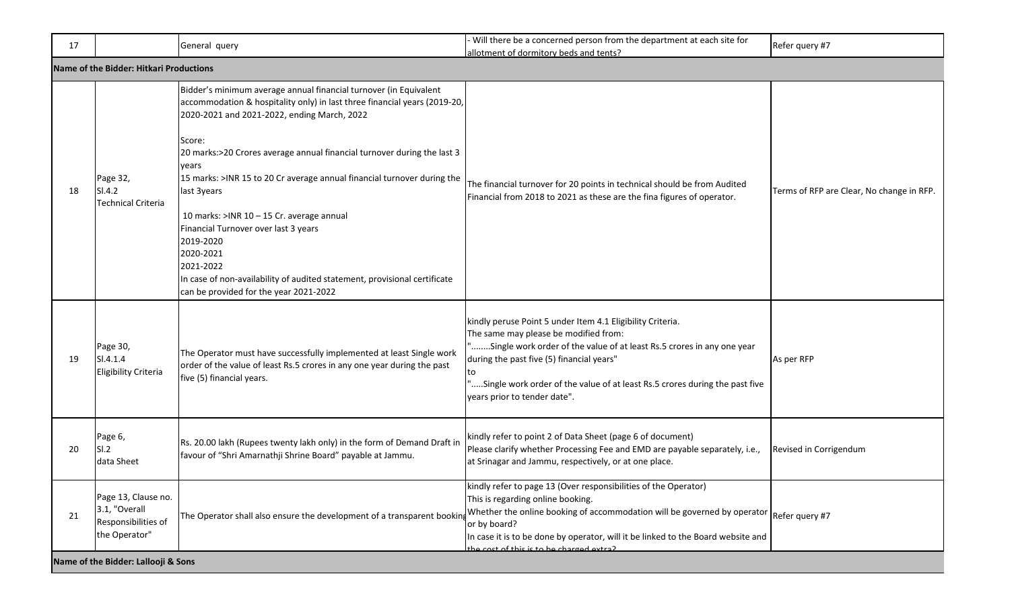| 17                                  | General query                                                                |                                                                                                                                                                                                                                                                                                                                                                                                                                                                                                                                                                                                                                          | Will there be a concerned person from the department at each site for<br>allotment of dormitory beds and tents?                                                                                                                                                                                                                                 | Refer query #7                            |  |  |  |
|-------------------------------------|------------------------------------------------------------------------------|------------------------------------------------------------------------------------------------------------------------------------------------------------------------------------------------------------------------------------------------------------------------------------------------------------------------------------------------------------------------------------------------------------------------------------------------------------------------------------------------------------------------------------------------------------------------------------------------------------------------------------------|-------------------------------------------------------------------------------------------------------------------------------------------------------------------------------------------------------------------------------------------------------------------------------------------------------------------------------------------------|-------------------------------------------|--|--|--|
|                                     | Name of the Bidder: Hitkari Productions                                      |                                                                                                                                                                                                                                                                                                                                                                                                                                                                                                                                                                                                                                          |                                                                                                                                                                                                                                                                                                                                                 |                                           |  |  |  |
| 18                                  | Page 32,<br>SI.4.2<br>Technical Criteria                                     | Bidder's minimum average annual financial turnover (in Equivalent<br>accommodation & hospitality only) in last three financial years (2019-20,<br>2020-2021 and 2021-2022, ending March, 2022<br>Score:<br>20 marks:>20 Crores average annual financial turnover during the last 3<br>years<br>15 marks: >INR 15 to 20 Cr average annual financial turnover during the<br>last 3years<br>10 marks: >INR 10 - 15 Cr. average annual<br>Financial Turnover over last 3 years<br>2019-2020<br>2020-2021<br>2021-2022<br>In case of non-availability of audited statement, provisional certificate<br>can be provided for the year 2021-2022 | The financial turnover for 20 points in technical should be from Audited<br>Financial from 2018 to 2021 as these are the fina figures of operator.                                                                                                                                                                                              | Terms of RFP are Clear, No change in RFP. |  |  |  |
| 19                                  | Page 30,<br>SI.4.1.4<br>Eligibility Criteria                                 | The Operator must have successfully implemented at least Single work<br>order of the value of least Rs.5 crores in any one year during the past<br>five (5) financial years.                                                                                                                                                                                                                                                                                                                                                                                                                                                             | kindly peruse Point 5 under Item 4.1 Eligibility Criteria.<br>The same may please be modified from:<br>Single work order of the value of at least Rs.5 crores in any one year<br>during the past five (5) financial years"<br>to<br>Single work order of the value of at least Rs.5 crores during the past five<br>years prior to tender date". | As per RFP                                |  |  |  |
| 20                                  | Page 6,<br>SI.2<br>data Sheet                                                | Rs. 20.00 lakh (Rupees twenty lakh only) in the form of Demand Draft in<br>favour of "Shri Amarnathji Shrine Board" payable at Jammu.                                                                                                                                                                                                                                                                                                                                                                                                                                                                                                    | kindly refer to point 2 of Data Sheet (page 6 of document)<br>Please clarify whether Processing Fee and EMD are payable separately, i.e.,<br>at Srinagar and Jammu, respectively, or at one place.                                                                                                                                              | Revised in Corrigendum                    |  |  |  |
| 21                                  | Page 13, Clause no.<br>3.1, "Overall<br>Responsibilities of<br>the Operator" | The Operator shall also ensure the development of a transparent bookin                                                                                                                                                                                                                                                                                                                                                                                                                                                                                                                                                                   | kindly refer to page 13 (Over responsibilities of the Operator)<br>This is regarding online booking.<br>Whether the online booking of accommodation will be governed by operator Refer query #7<br>or by board?<br>In case it is to be done by operator, will it be linked to the Board website and<br>the cost of this is to he charged extra? |                                           |  |  |  |
| Name of the Bidder: Lallooji & Sons |                                                                              |                                                                                                                                                                                                                                                                                                                                                                                                                                                                                                                                                                                                                                          |                                                                                                                                                                                                                                                                                                                                                 |                                           |  |  |  |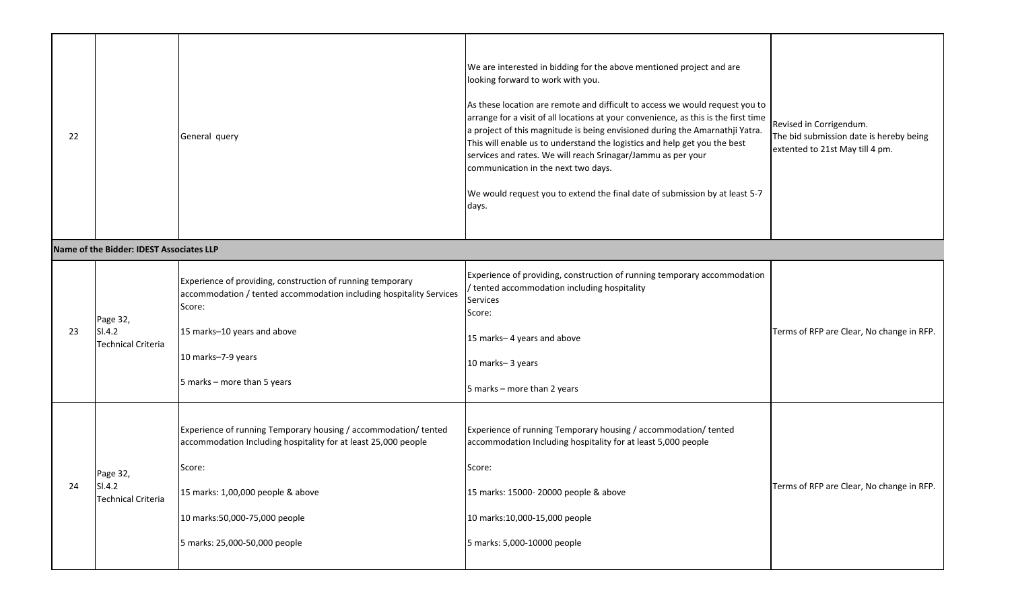| 22 |                                                 | General query                                                                                                                                                                                                                                      | We are interested in bidding for the above mentioned project and are<br>looking forward to work with you.<br>As these location are remote and difficult to access we would request you to<br>arrange for a visit of all locations at your convenience, as this is the first time<br>a project of this magnitude is being envisioned during the Amarnathji Yatra.<br>This will enable us to understand the logistics and help get you the best<br>services and rates. We will reach Srinagar/Jammu as per your<br>communication in the next two days.<br>We would request you to extend the final date of submission by at least 5-7<br>days. | Revised in Corrigendum.<br>The bid submission date is hereby being<br>extented to 21st May till 4 pm. |
|----|-------------------------------------------------|----------------------------------------------------------------------------------------------------------------------------------------------------------------------------------------------------------------------------------------------------|----------------------------------------------------------------------------------------------------------------------------------------------------------------------------------------------------------------------------------------------------------------------------------------------------------------------------------------------------------------------------------------------------------------------------------------------------------------------------------------------------------------------------------------------------------------------------------------------------------------------------------------------|-------------------------------------------------------------------------------------------------------|
|    | Name of the Bidder: IDEST Associates LLP        |                                                                                                                                                                                                                                                    |                                                                                                                                                                                                                                                                                                                                                                                                                                                                                                                                                                                                                                              |                                                                                                       |
| 23 | Page 32,<br>SI.4.2<br><b>Technical Criteria</b> | Experience of providing, construction of running temporary<br>accommodation / tented accommodation including hospitality Services<br>Score:<br>15 marks-10 years and above<br>10 marks-7-9 years<br>5 marks - more than 5 years                    | Experience of providing, construction of running temporary accommodation<br>/ tented accommodation including hospitality<br><b>Services</b><br>Score:<br>15 marks-4 years and above<br>10 marks-3 years<br>5 marks - more than 2 years                                                                                                                                                                                                                                                                                                                                                                                                       | Terms of RFP are Clear, No change in RFP.                                                             |
| 24 | Page 32,<br>SI.4.2<br><b>Technical Criteria</b> | Experience of running Temporary housing / accommodation/ tented<br>accommodation Including hospitality for at least 25,000 people<br>Score:<br>15 marks: 1,00,000 people & above<br>10 marks:50,000-75,000 people<br>5 marks: 25,000-50,000 people | Experience of running Temporary housing / accommodation/ tented<br>accommodation Including hospitality for at least 5,000 people<br>Score:<br>15 marks: 15000-20000 people & above<br>10 marks:10,000-15,000 people<br>5 marks: 5,000-10000 people                                                                                                                                                                                                                                                                                                                                                                                           | Terms of RFP are Clear, No change in RFP.                                                             |